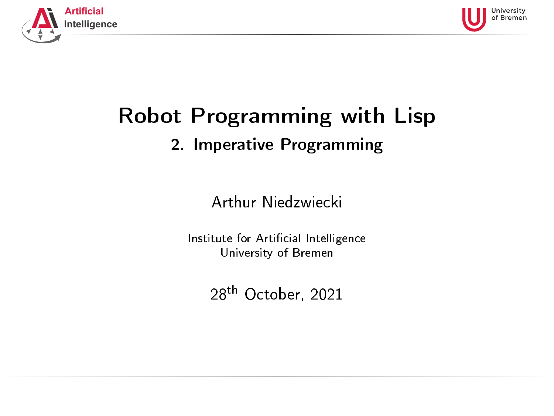<span id="page-0-0"></span>



# Robot Programming with Lisp 2. Imperative Programming

Arthur Niedzwiecki

Institute for Artificial Intelligence University of Bremen

28th October, 2021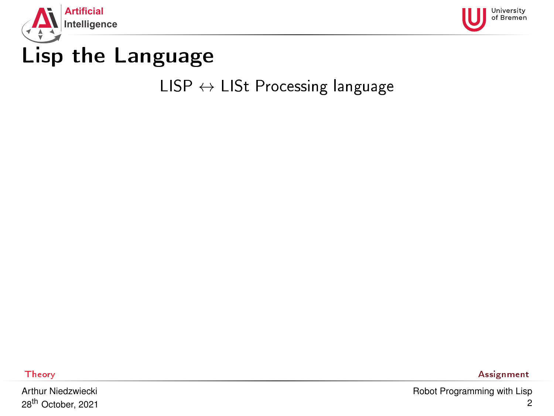<span id="page-1-0"></span>



# Lisp the Language

#### $LISP \leftrightarrow LIST$  Processing language

Arthur Niedzwiecki 28th October, 2021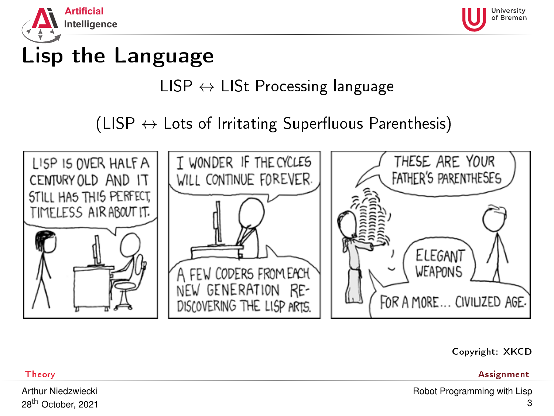<span id="page-2-0"></span>



# Lisp the Language

## $LISP \leftrightarrow LIST$  Processing language

### (LISP  $\leftrightarrow$  Lots of Irritating Superfluous Parenthesis)



#### Copyright: XKCD

[Theory](#page-1-0) [Assignment](#page-59-0)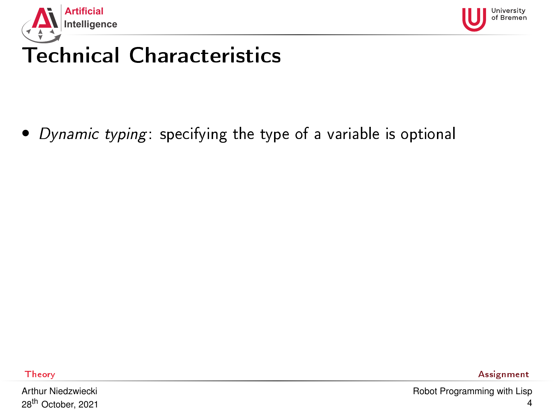<span id="page-3-0"></span>



• Dynamic typing: specifying the type of a variable is optional

Arthur Niedzwiecki 28th October, 2021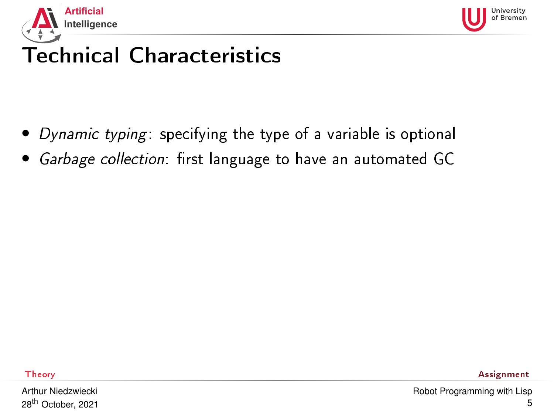



- Dynamic typing: specifying the type of a variable is optional
- Garbage collection: first language to have an automated GC

Arthur Niedzwiecki 28th October, 2021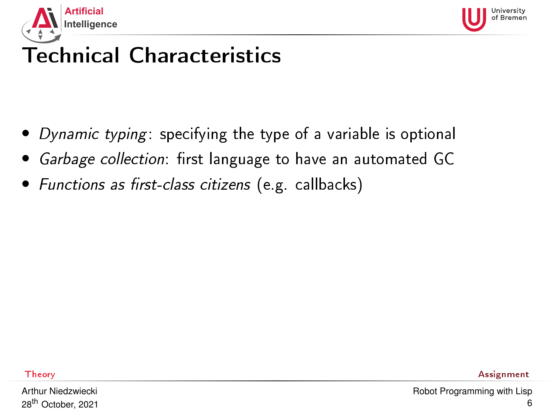



- Dynamic typing: specifying the type of a variable is optional
- Garbage collection: first language to have an automated GC
- Functions as first-class citizens (e.g. callbacks)

Arthur Niedzwiecki 28th October, 2021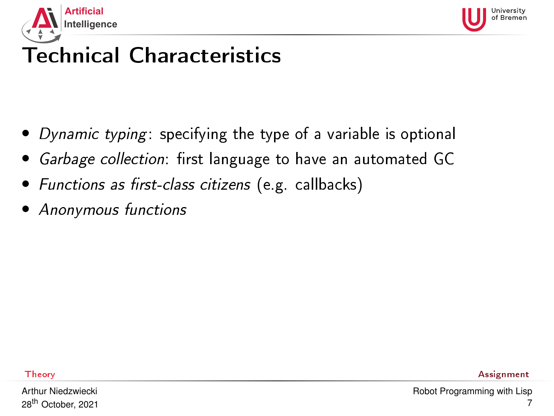



- Dynamic typing: specifying the type of a variable is optional
- Garbage collection: first language to have an automated GC
- Functions as first-class citizens (e.g. callbacks)
- Anonymous functions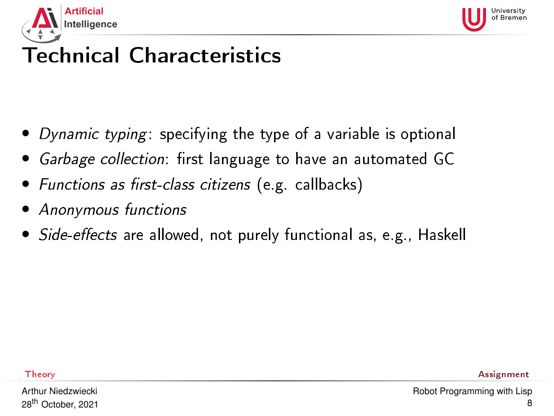



- Dynamic typing: specifying the type of a variable is optional
- Garbage collection: first language to have an automated GC
- Functions as first-class citizens (e.g. callbacks)
- Anonymous functions
- Side-effects are allowed, not purely functional as, e.g., Haskell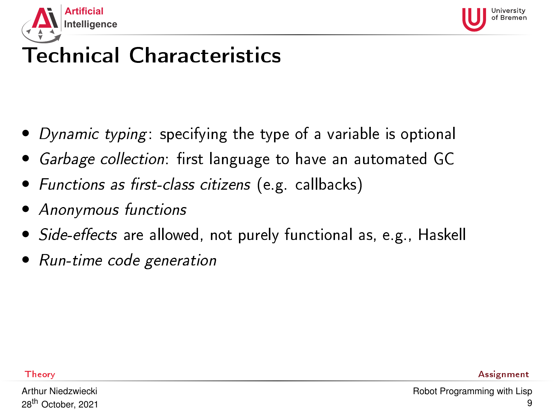



- Dynamic typing: specifying the type of a variable is optional
- Garbage collection: first language to have an automated GC
- Functions as first-class citizens (e.g. callbacks)
- Anonymous functions
- Side-effects are allowed, not purely functional as, e.g., Haskell
- Run-time code generation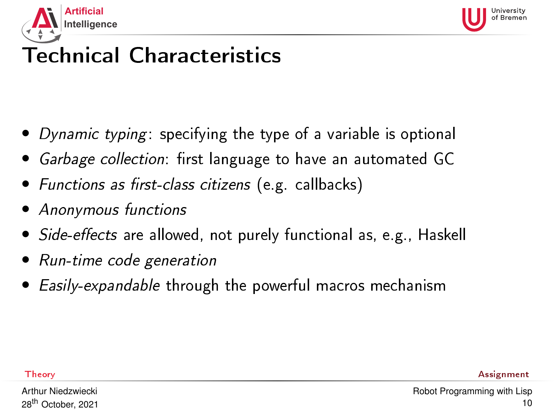<span id="page-9-0"></span>



- Dynamic typing: specifying the type of a variable is optional
- Garbage collection: first language to have an automated GC
- Functions as first-class citizens (e.g. callbacks)
- Anonymous functions
- Side-effects are allowed, not purely functional as, e.g., Haskell
- Run-time code generation
- Easily-expandable through the powerful macros mechanism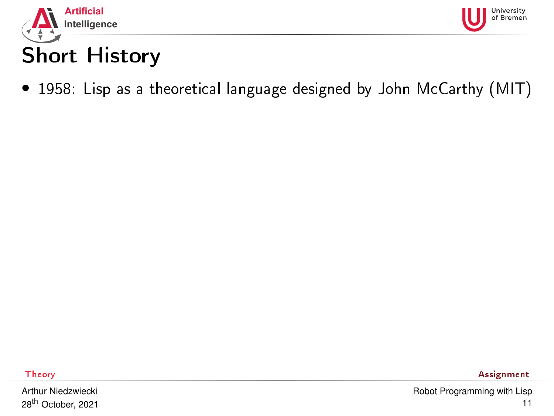<span id="page-10-0"></span>



### • 1958: Lisp as a theoretical language designed by John McCarthy (MIT)

Arthur Niedzwiecki 28th October, 2021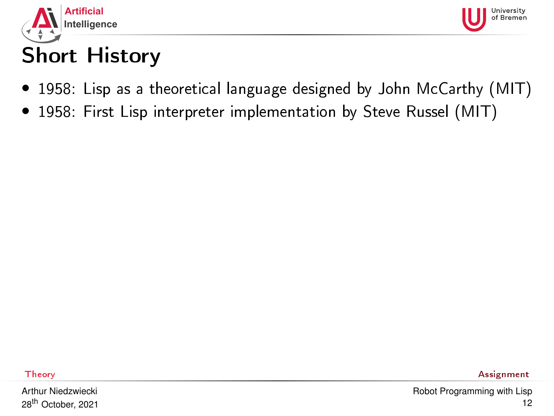



- 1958: Lisp as a theoretical language designed by John McCarthy (MIT)
- 1958: First Lisp interpreter implementation by Steve Russel (MIT)

Arthur Niedzwiecki 28th October, 2021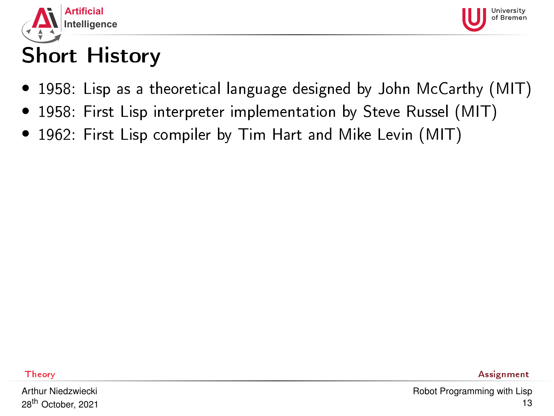



- 1958: Lisp as a theoretical language designed by John McCarthy (MIT)
- 1958: First Lisp interpreter implementation by Steve Russel (MIT)
- 1962: First Lisp compiler by Tim Hart and Mike Levin (MIT)

Arthur Niedzwiecki 28th October, 2021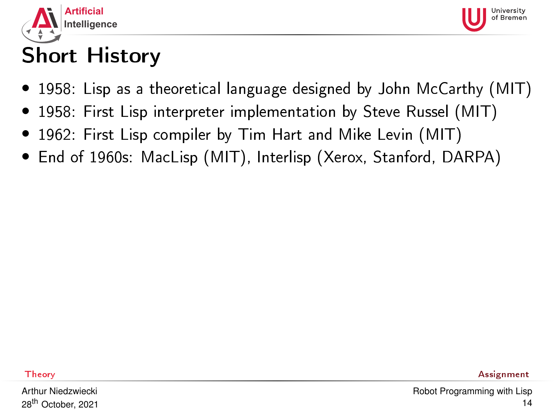



- 1958: Lisp as a theoretical language designed by John McCarthy (MIT)
- 1958: First Lisp interpreter implementation by Steve Russel (MIT)
- 1962: First Lisp compiler by Tim Hart and Mike Levin (MIT)
- End of 1960s: MacLisp (MIT), Interlisp (Xerox, Stanford, DARPA)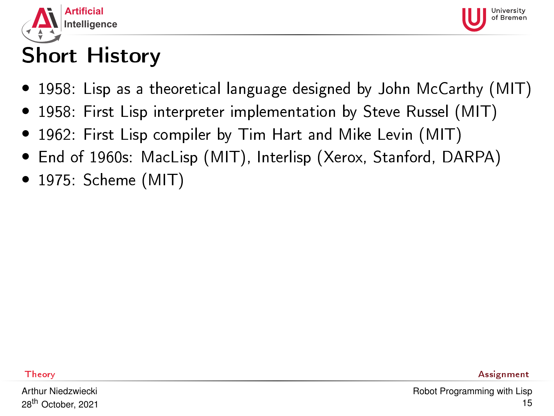



- 1958: Lisp as a theoretical language designed by John McCarthy (MIT)
- 1958: First Lisp interpreter implementation by Steve Russel (MIT)
- 1962: First Lisp compiler by Tim Hart and Mike Levin (MIT)
- End of 1960s: MacLisp (MIT), Interlisp (Xerox, Stanford, DARPA)
- 1975: Scheme (MIT)

Arthur Niedzwiecki 28th October, 2021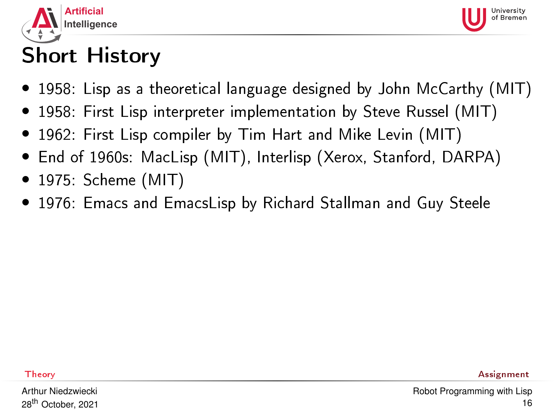



- 1958: Lisp as a theoretical language designed by John McCarthy (MIT)
- 1958: First Lisp interpreter implementation by Steve Russel (MIT)
- 1962: First Lisp compiler by Tim Hart and Mike Levin (MIT)
- End of 1960s: MacLisp (MIT), Interlisp (Xerox, Stanford, DARPA)
- 1975: Scheme (MIT)
- 1976: Emacs and EmacsLisp by Richard Stallman and Guy Steele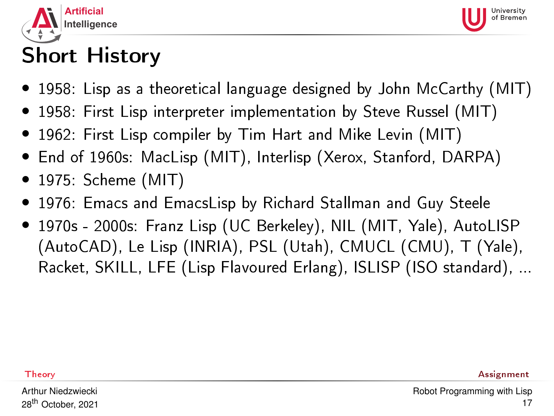



- 1958: Lisp as a theoretical language designed by John McCarthy (MIT)
- 1958: First Lisp interpreter implementation by Steve Russel (MIT)
- 1962: First Lisp compiler by Tim Hart and Mike Levin (MIT)
- End of 1960s: MacLisp (MIT), Interlisp (Xerox, Stanford, DARPA)
- 1975: Scheme (MIT)
- 1976: Emacs and EmacsLisp by Richard Stallman and Guy Steele
- 1970s 2000s: Franz Lisp (UC Berkeley), NIL (MIT, Yale), AutoLISP (AutoCAD), Le Lisp (INRIA), PSL (Utah), CMUCL (CMU), T (Yale), Racket, SKILL, LFE (Lisp Flavoured Erlang), ISLISP (ISO standard), ...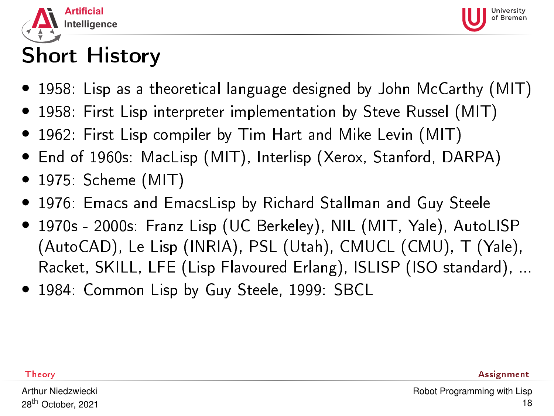



- 1958: Lisp as a theoretical language designed by John McCarthy (MIT)
- 1958: First Lisp interpreter implementation by Steve Russel (MIT)
- 1962: First Lisp compiler by Tim Hart and Mike Levin (MIT)
- End of 1960s: MacLisp (MIT), Interlisp (Xerox, Stanford, DARPA)
- 1975: Scheme (MIT)
- 1976: Emacs and EmacsLisp by Richard Stallman and Guy Steele
- 1970s 2000s: Franz Lisp (UC Berkeley), NIL (MIT, Yale), AutoLISP (AutoCAD), Le Lisp (INRIA), PSL (Utah), CMUCL (CMU), T (Yale), Racket, SKILL, LFE (Lisp Flavoured Erlang), ISLISP (ISO standard), ...
- 1984: Common Lisp by Guy Steele, 1999: SBCL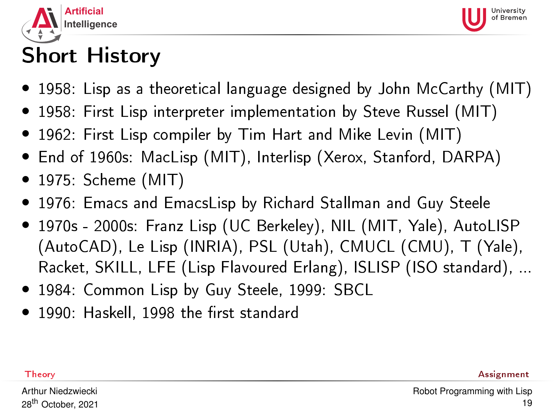



- 1958: Lisp as a theoretical language designed by John McCarthy (MIT)
- 1958: First Lisp interpreter implementation by Steve Russel (MIT)
- 1962: First Lisp compiler by Tim Hart and Mike Levin (MIT)
- End of 1960s: MacLisp (MIT), Interlisp (Xerox, Stanford, DARPA)
- 1975: Scheme (MIT)
- 1976: Emacs and EmacsLisp by Richard Stallman and Guy Steele
- 1970s 2000s: Franz Lisp (UC Berkeley), NIL (MIT, Yale), AutoLISP (AutoCAD), Le Lisp (INRIA), PSL (Utah), CMUCL (CMU), T (Yale), Racket, SKILL, LFE (Lisp Flavoured Erlang), ISLISP (ISO standard), ...
- 1984: Common Lisp by Guy Steele, 1999: SBCL
- $\bullet$  1990: Haskell, 1998 the first standard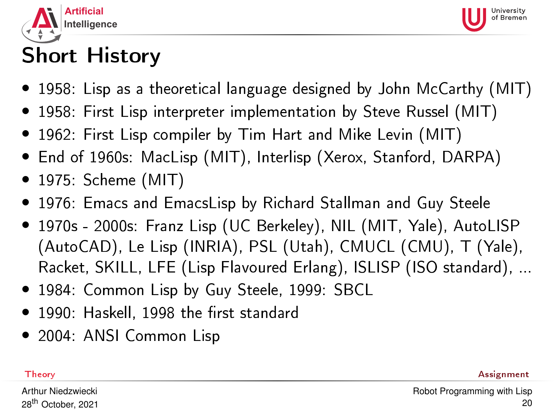



- 1958: Lisp as a theoretical language designed by John McCarthy (MIT)
- 1958: First Lisp interpreter implementation by Steve Russel (MIT)
- 1962: First Lisp compiler by Tim Hart and Mike Levin (MIT)
- End of 1960s: MacLisp (MIT), Interlisp (Xerox, Stanford, DARPA)
- 1975: Scheme (MIT)
- 1976: Emacs and EmacsLisp by Richard Stallman and Guy Steele
- 1970s 2000s: Franz Lisp (UC Berkeley), NIL (MIT, Yale), AutoLISP (AutoCAD), Le Lisp (INRIA), PSL (Utah), CMUCL (CMU), T (Yale), Racket, SKILL, LFE (Lisp Flavoured Erlang), ISLISP (ISO standard), ...
- 1984: Common Lisp by Guy Steele, 1999: SBCL
- $\bullet$  1990: Haskell, 1998 the first standard
- 2004: ANSI Common Lisp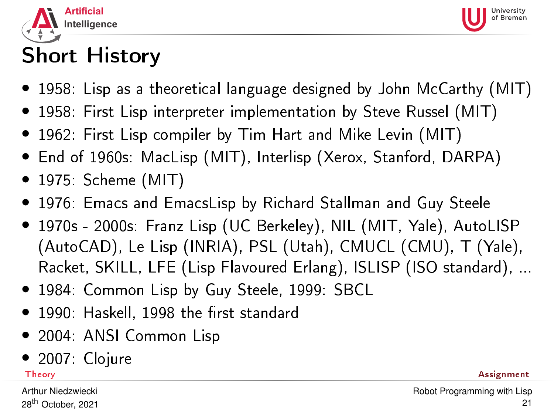<span id="page-20-0"></span>



- 1958: Lisp as a theoretical language designed by John McCarthy (MIT)
- 1958: First Lisp interpreter implementation by Steve Russel (MIT)
- 1962: First Lisp compiler by Tim Hart and Mike Levin (MIT)
- End of 1960s: MacLisp (MIT), Interlisp (Xerox, Stanford, DARPA)
- 1975: Scheme (MIT)
- 1976: Emacs and EmacsLisp by Richard Stallman and Guy Steele
- 1970s 2000s: Franz Lisp (UC Berkeley), NIL (MIT, Yale), AutoLISP (AutoCAD), Le Lisp (INRIA), PSL (Utah), CMUCL (CMU), T (Yale), Racket, SKILL, LFE (Lisp Flavoured Erlang), ISLISP (ISO standard), ...
- 1984: Common Lisp by Guy Steele, 1999: SBCL
- $\bullet$  1990: Haskell, 1998 the first standard
- 2004: ANSI Common Lisp
- 2007: Clojure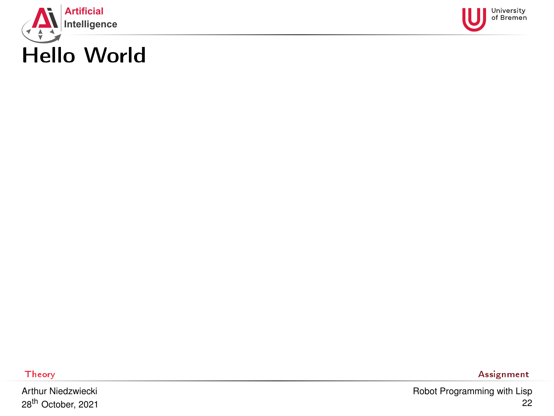<span id="page-21-0"></span>



Arthur Niedzwiecki 28th October, 2021

[Theory](#page-1-0) **[Assignment](#page-59-0)** Assignment **Assignment Assignment**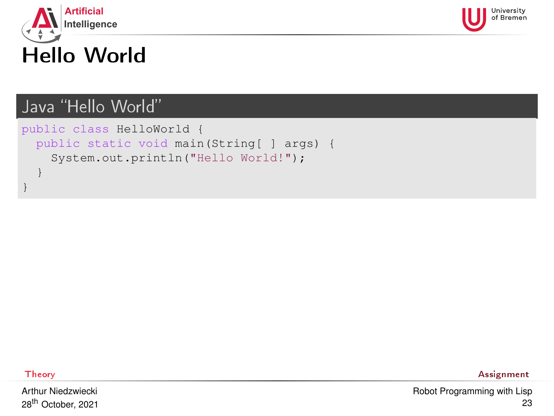



#### Java "Hello World"

```
public class HelloWorld {
 public static void main(String[ ] args) {
    System.out.println("Hello World!");
  }
}
```
Arthur Niedzwiecki 28th October, 2021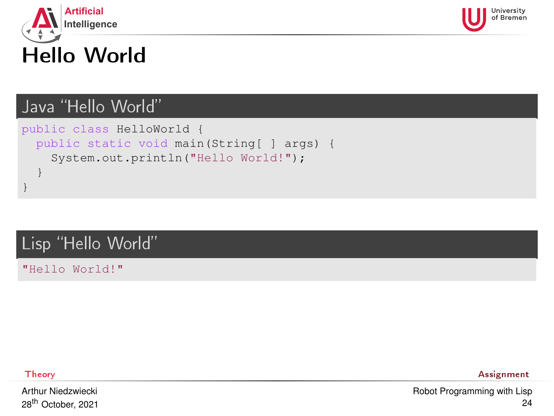



#### Java "Hello World"

```
public class HelloWorld {
 public static void main(String[ ] args) {
    System.out.println("Hello World!");
  }
}
```
#### Lisp "Hello World"

"Hello World!"

Arthur Niedzwiecki 28th October, 2021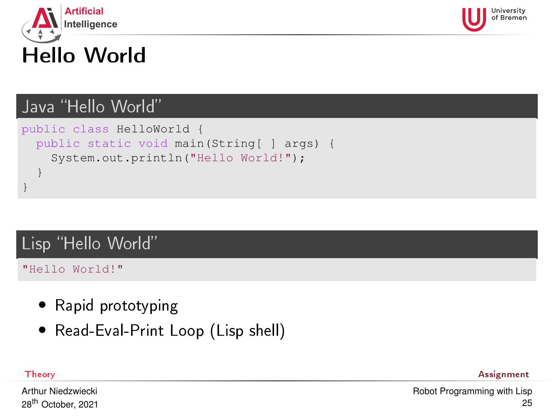<span id="page-24-0"></span>



#### Java "Hello World"

```
public class HelloWorld {
 public static void main(String[ ] args) {
    System.out.println("Hello World!");
  }
}
```
#### Lisp "Hello World"

"Hello World!"

- Rapid prototyping
- Read-Eval-Print Loop (Lisp shell)

[Theory](#page-1-0) [Assignment](#page-59-0)

Arthur Niedzwiecki 28th October, 2021 [Robot Programming with Lisp](#page-0-0) 25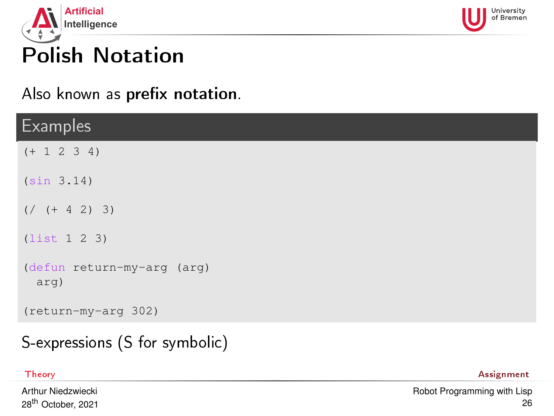<span id="page-25-0"></span>



# Polish Notation

Also known as prefix notation.

| <b>Examples</b>                    |
|------------------------------------|
| $(+ 1 2 3 4)$                      |
| (sin 3.14)                         |
| $( /$ (+ 4 2) 3)                   |
| (list 1 2 3)                       |
| (defun return-my-arg (arg)<br>arg) |
| (return-my-arg 302)                |

### S-expressions (S for symbolic)

Arthur Niedzwiecki 28th October, 2021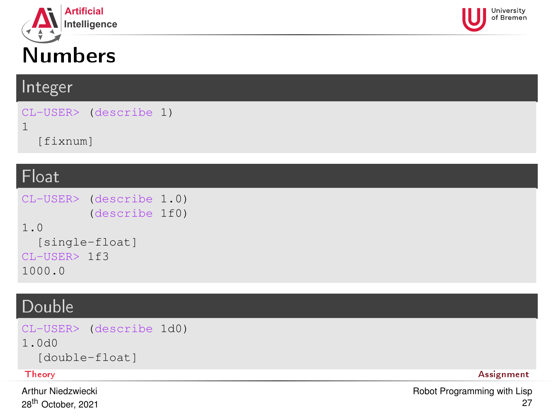<span id="page-26-0"></span>

# Numbers

#### Integer

```
CL-USER> (describe 1)
1
  [fixnum]
```
#### Float

```
CL-USER> (describe 1.0)
          (describe 1f0)
1.0
  [single-float]
CL-USER> 1f3
1000.0
```
### Double

```
CL-USER> (describe 1d0)
1.0d0
 [double-float]
Theory Assignment
```
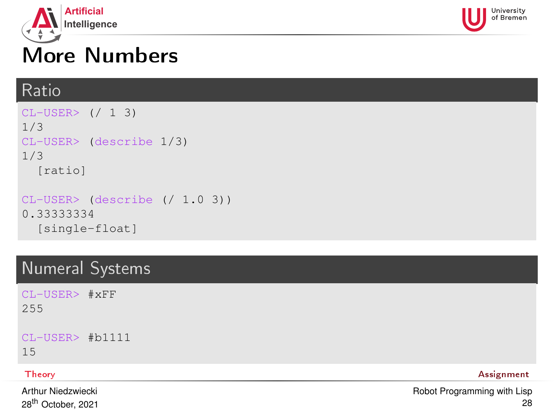<span id="page-27-0"></span>



# More Numbers

#### Ratio

```
CI-USER> (/ 1 3)
1/3
CL-USER> (describe 1/3)
1/3
  [ratio]
CL-USER> (describe (/ 1.0 3))
0.33333334
  [single-float]
```
### Numeral Systems

CL-USER> #xFF 255

CL-USER> #b1111

15

Arthur Niedzwiecki 28th October, 2021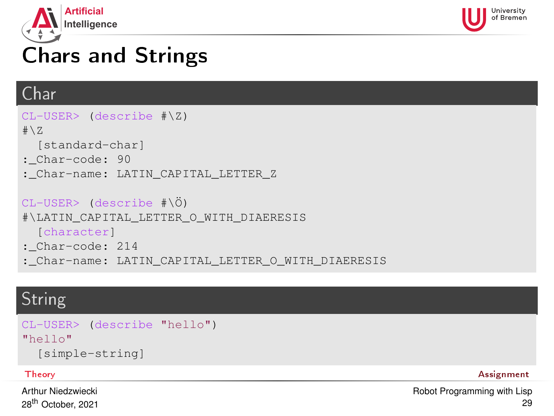<span id="page-28-0"></span>



# Chars and Strings

### Char

```
CL-USER> (describe #\Z)
# \setminus Z[standard-char]
: Char-code: 90
:_Char-name: LATIN_CAPITAL_LETTER_Z
CL-USER> (describe #\Ö)
#\LATIN_CAPITAL_LETTER_O_WITH_DIAERESIS
  [character]
:_Char-code: 214
:_Char-name: LATIN_CAPITAL_LETTER_O_WITH_DIAERESIS
```
### String

```
CL-USER> (describe "hello")
"hello"
  [simple-string]
```
#### [Theory](#page-1-0) [Assignment](#page-59-0)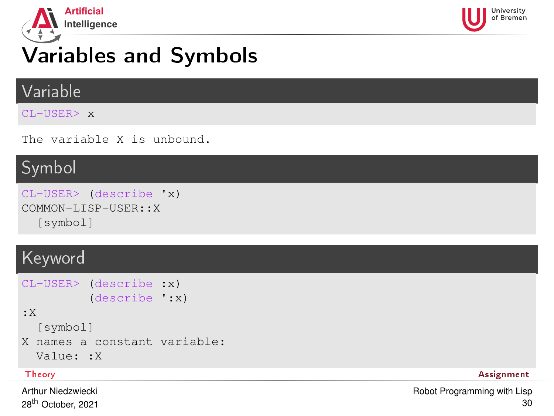<span id="page-29-0"></span>



# Variables and Symbols

#### Variable

CL-USER> x

The variable X is unbound.

#### Symbol

```
CL-USER> (describe 'x)
COMMON-LISP-USER::X
  [symbol]
```
### Keyword

```
CL-USER> (describe :x)
          (describe ':x)
:X
  [symbol]
X names a constant variable:
  Value: :X
```
Arthur Niedzwiecki 28<sup>th</sup> October, 2021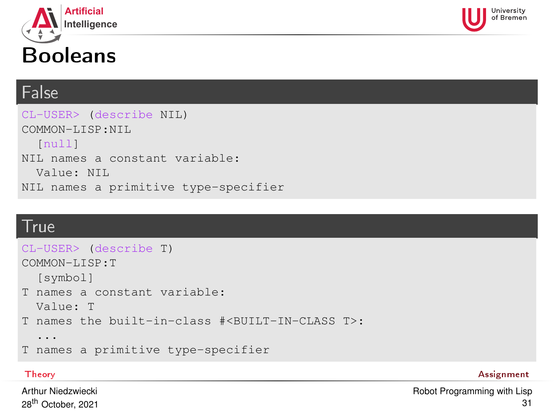<span id="page-30-0"></span>

# Booleans

#### False

CL-USER> (describe NIL) COMMON-LISP:NIL [null] NIL names a constant variable: Value: NIL NIL names a primitive type-specifier

#### **True**

```
CL-USER> (describe T)
COMMON-LISP:T
  [symbol]
T names a constant variable:
 Value: T
T names the built-in-class #<BUILT-IN-CLASS T>:
  ...
T names a primitive type-specifier
```
[Theory](#page-1-0) **[Assignment](#page-59-0)** and the contract of the contract of the contract of the contract of the contract of the contract of the contract of the contract of the contract of the contract of the contract of the contract of the co

University

Arthur Niedzwiecki 28th October, 2021 [Robot Programming with Lisp](#page-0-0) 31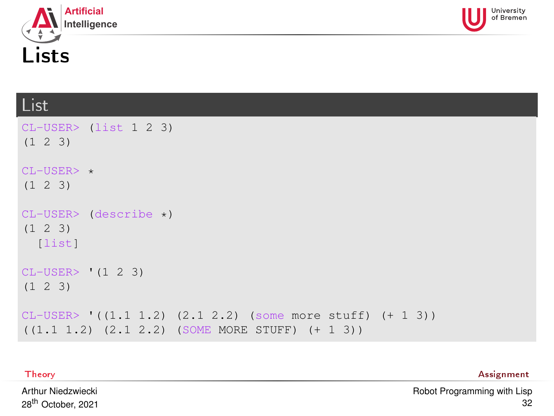<span id="page-31-0"></span>



## List

| $CL-USER$ (list 1 2 3)<br>$(1 \t2 \t3)$                                                                              |
|----------------------------------------------------------------------------------------------------------------------|
| $CL-USER>$ *<br>$(1 \t2 \t3)$                                                                                        |
| $CL-USER>$ (describe $\star$ )<br>$(1 \t2 \t3)$<br>[list]                                                            |
| $CL-USER>$ (1 2 3)<br>$(1 \t2 \t3)$                                                                                  |
| $CL-USER>$ $((1.1 1.2) (2.1 2.2) (some more stuff) (+ 1 3))$<br>$((1.1 1.2) (2.1 2.2)$ (SOME MORE STUFF) $(+ 1 3)$ ) |

[Theory](#page-1-0) **[Assignment](#page-59-0)** Assignment **Assignment Assignment** 

Arthur Niedzwiecki 28th October, 2021 [Robot Programming with Lisp](#page-0-0) 32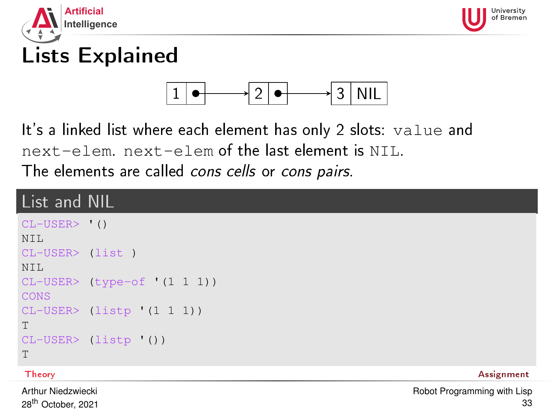<span id="page-32-0"></span>



# Lists Explained



It's a linked list where each element has only 2 slots: value and next-elem. next-elem of the last element is NIL. The elements are called cons cells or cons pairs.

### List and NIL

```
CL-USER> '()
NTT.
CL-USER> (list )
NTT.
CL-USER> (type-of '(1 1 1))
CONS
CL-USER> (listp '(1 1 1))
T
CL-USER> (listp '())
T
```
[Theory](#page-1-0) [Assignment](#page-59-0)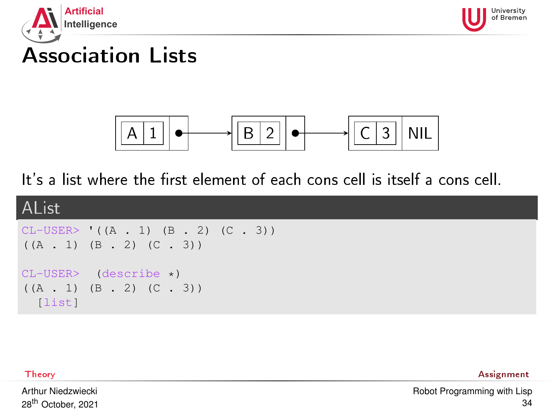<span id="page-33-0"></span>



## Association Lists



It's a list where the first element of each cons cell is itself a cons cell.



[Theory](#page-1-0) [Assignment](#page-59-0)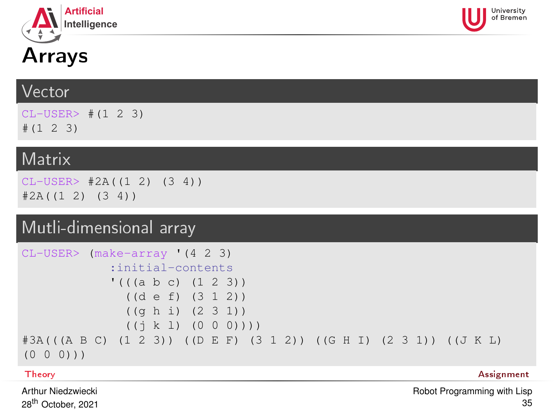<span id="page-34-0"></span>



# Arrays

#### Vector

CL-USER> #(1 2 3) #(1 2 3)

#### **Matrix**

 $CL-USER> #2A((1 2) (3 4))$  $#2A((1 2) (3 4))$ 

### Mutli-dimensional array

```
CL-USER> (make-array '(4 2 3)
            :initial-contents
            '((a b c) (1 2 3))((d e f) (3 1 2))
              ((g h i) (2 3 1))
              ((i k 1) (0 0 0)))#3A(((A B C) (1 2 3)) ((D E F) (3 1 2)) ((G H I) (2 3 1)) ((J K L)
(0 0 0)))
```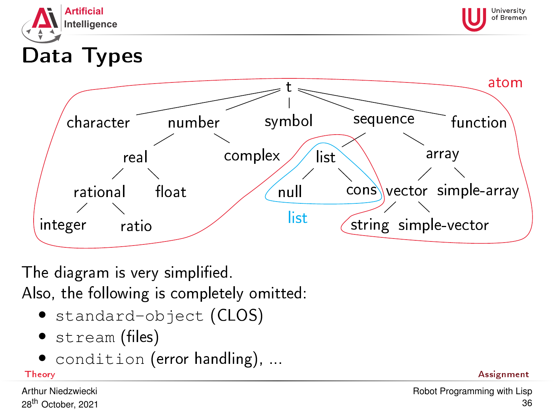<span id="page-35-0"></span>



# Data Types



The diagram is very simplified. Also, the following is completely omitted:

- standard-object (CLOS)
- $\bullet$  stream (files)
- condition (error handling), ...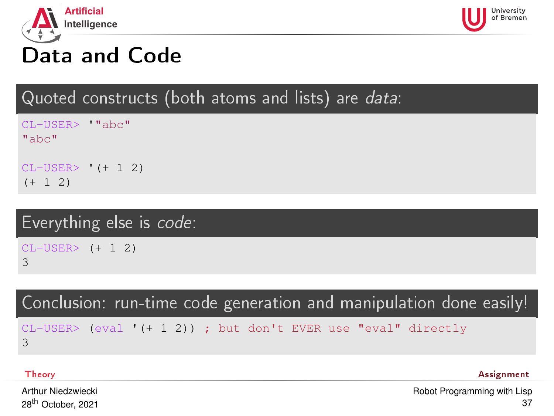<span id="page-36-0"></span>



## Data and Code

Quoted constructs (both atoms and lists) are data:

CL-USER> '"abc"  $^{\text{II}}$ abc $^{\text{II}}$ CL-USER> '(+ 1 2)

 $(+ 1 2)$ 

## Everything else is code:

CL-USER> (+ 1 2) 3

Conclusion: run-time code generation and manipulation done easily!

CL-USER> (eval '(+ 1 2)) ; but don't EVER use "eval" directly 3

[Theory](#page-1-0) [Assignment](#page-59-0)

Arthur Niedzwiecki 28th October, 2021 [Robot Programming with Lisp](#page-0-0) 37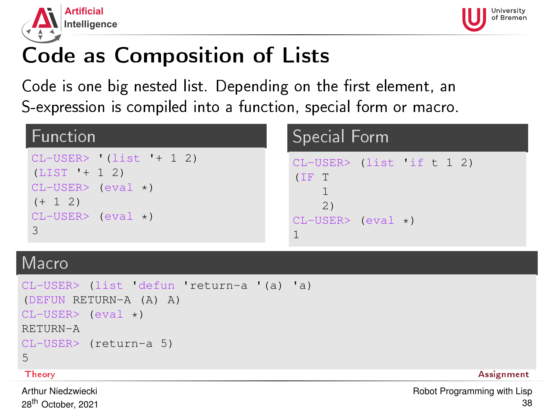<span id="page-37-0"></span>



# Code as Composition of Lists

Code is one big nested list. Depending on the first element, an S-expression is compiled into a function, special form or macro.

| Function                                                                                                       | Special Form                                                           |  |  |
|----------------------------------------------------------------------------------------------------------------|------------------------------------------------------------------------|--|--|
| $CL-USER>$ (list '+ 1 2)<br>$(LIST ' + 1 2)$<br>$CL-USER > (eval *)$<br>$(+ 1 2)$<br>$CL-USER$ (eval $\star$ ) | $CL-USER$ (list if t 1 2)<br>(IF T<br>2)<br>$CL-USER>$ (eval $\star$ ) |  |  |

#### Macro

```
CL-USER> (list 'defun 'return-a '(a) 'a)
(DEFUN RETURN-A (A) A)
CI-USTR > (eval *)RETURN-A
CL-USER> (return-a 5)
5
```
#### [Theory](#page-1-0) [Assignment](#page-59-0)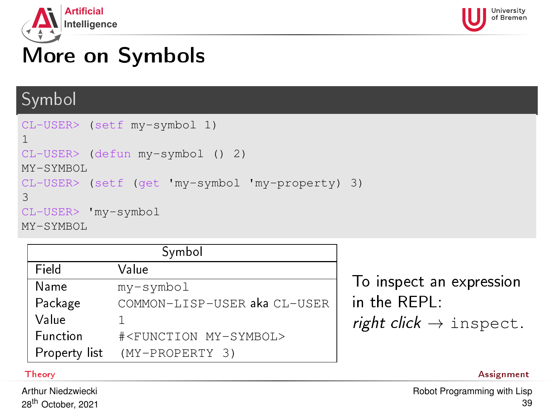<span id="page-38-0"></span>



# More on Symbols

#### Symbol

```
CL-USER> (setf my-symbol 1)
1
CL-USER> (defun my-symbol () 2)
MY-SYMBOL
CL-USER> (setf (get 'my-symbol 'my-property) 3)
3
CL-USER> 'my-symbol
MY-SYMBOL
```

| Symbol        |                                      |  |
|---------------|--------------------------------------|--|
| Field         | Value                                |  |
| Name          | my-symbol                            |  |
| Package       | COMMON-LISP-USER aka CL-USER         |  |
| Value         |                                      |  |
| Function      | # <function my-symbol=""></function> |  |
| Property list | (MY-PROPERTY 3)                      |  |

To inspect an expression in the REPL: right click  $\rightarrow$  inspect.

[Theory](#page-1-0) [Assignment](#page-59-0)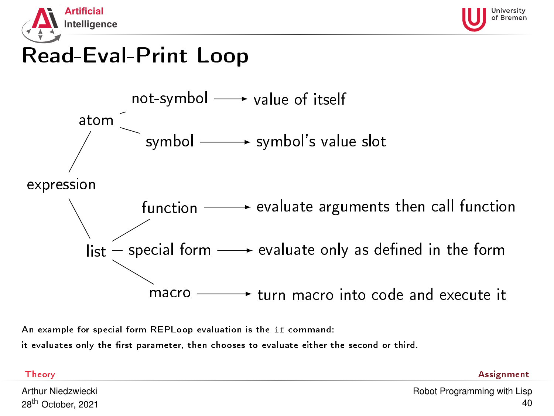<span id="page-39-0"></span>



## Read-Eval-Print Loop



An example for special form REPLoop evaluation is the if command:

it evaluates only the first parameter, then chooses to evaluate either the second or third.

| Theory | Assignment |
|--------|------------|
|        |            |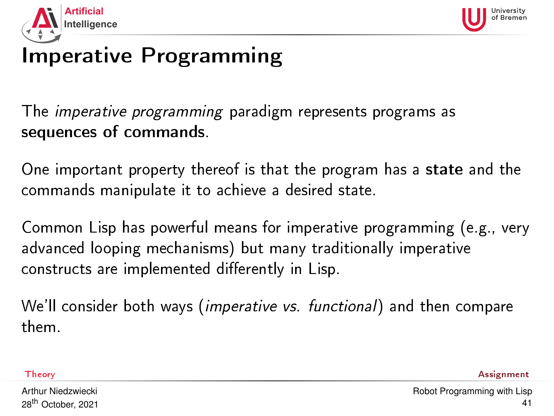<span id="page-40-0"></span>



# Imperative Programming

The imperative programming paradigm represents programs as sequences of commands.

One important property thereof is that the program has a state and the commands manipulate it to achieve a desired state.

Common Lisp has powerful means for imperative programming (e.g., very advanced looping mechanisms) but many traditionally imperative constructs are implemented differently in Lisp.

We'll consider both ways (*imperative vs. functional*) and then compare them.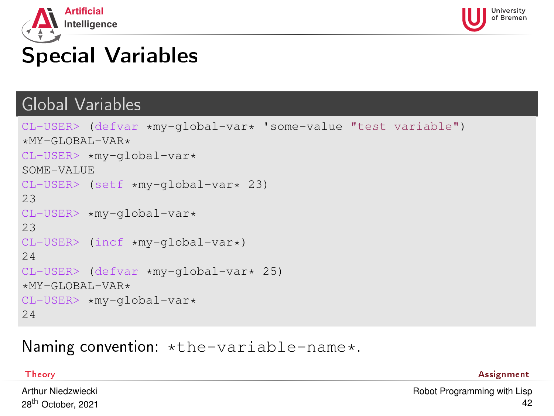<span id="page-41-0"></span>



# Special Variables

#### Global Variables

```
CL-USER> (defvar *my-global-var* 'some-value "test variable")
*MY-GLOBAL-VAR*CL-USER> *my-global-var*
SOME-VALUE
CL-USER> (setf *my-global-var* 23)
23
CI-USER \starmv-global-var\star23
CL-USER> (incf *my-global-var*)
24
CL-USER> (defvar *my-global-var* 25)
*MY - GT. ORAT. -VAR*CL-USER> *my-global-var*
24
```
#### Naming convention: \*the-variable-name\*.

[Theory](#page-1-0) [Assignment](#page-59-0)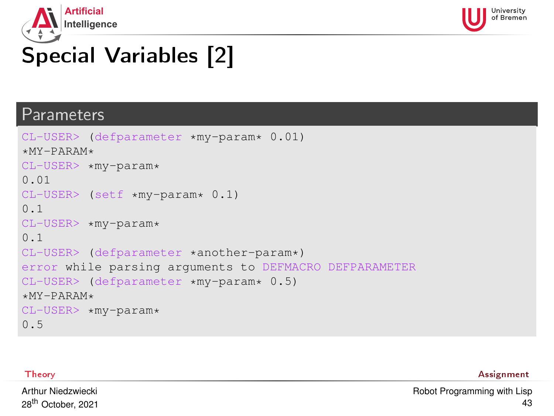<span id="page-42-0"></span>



# Special Variables [2]

#### Parameters

```
CL-USER> (defparameter *my-param* 0.01)
*MY-PARAM*CL-USER> *my-param*
0.01
CL-USER> (setf *my-param* 0.1)
0.1
CL-USER> *my-param*
0.1
CL-USER> (defparameter *another-param*)
error while parsing arguments to DEFMACRO DEFPARAMETER
CL-USER> (defparameter *my-param* 0.5)
*MY-PARAM*CL-USER> *my-param*
0.5
```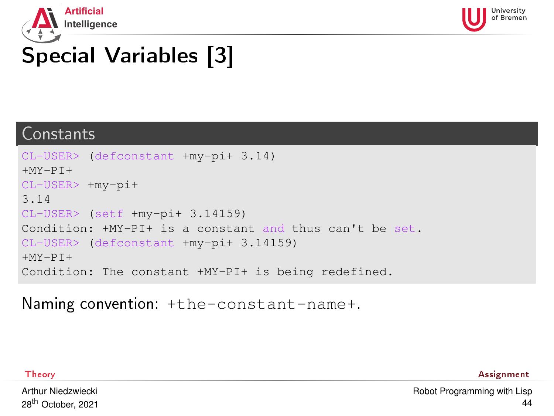<span id="page-43-0"></span>



# Special Variables [3]

#### Constants

```
CL-USER> (defconstant +my-pi+ 3.14)
+MY-PT+CL-USER> +my-pi+
3.14
CL-USER> (setf +my-pi+ 3.14159)
Condition: +MY-PI+ is a constant and thus can't be set.
CL-USER> (defconstant +my-pi+ 3.14159)
+MY-PT+Condition: The constant +MY-PI+ is being redefined.
```
Naming convention: +the-constant-name+.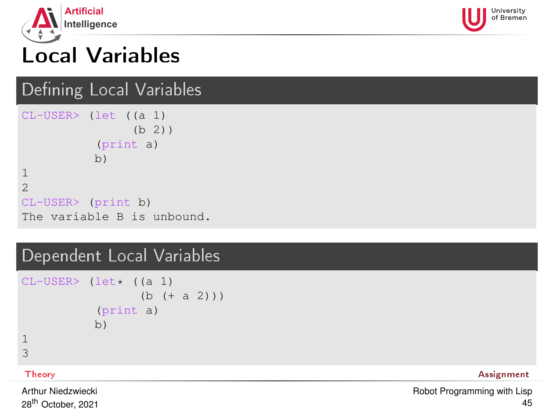<span id="page-44-0"></span>



# Local Variables

### Defining Local Variables

CL-USER> (let ((a 1) (b 2)) (print a) b) 1 2 CL-USER> (print b) The variable B is unbound.

#### Dependent Local Variables

```
CL-USER > (let \star (a 1))(b + a 2))(print a)
           b)
1
3
```
[Theory](#page-1-0) [Assignment](#page-59-0)

Arthur Niedzwiecki 28th October, 2021 [Robot Programming with Lisp](#page-0-0) 45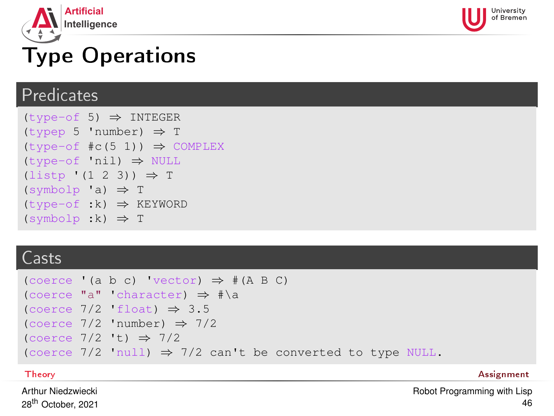<span id="page-45-0"></span>



# Type Operations

#### **Predicates**

 $(t$ vpe-of 5)  $\Rightarrow$  INTEGER (typep 5 'number) ⇒ T  $(type-of \#c(5 1)) \Rightarrow COMPLEX$ (type-of 'nil) ⇒ NULL  $(listp ' (1 2 3)) \Rightarrow T$  $(symbolp 'a) \Rightarrow T$  $(type-of :k) \Rightarrow KEYWORD$  $(symbolp :k) \Rightarrow T$ 

#### Casts

```
(\text{coerce } (a \ b \ c) \text{ 'vector)} \Rightarrow \# (A \ B \ C)(coerce "a" 'character) ⇒ #\a
(coerce 7/2 'float) \Rightarrow 3.5(coerce 7/2 'number) \Rightarrow 7/2(coerce 7/2 't) \Rightarrow 7/2(coerce 7/2 'null) \Rightarrow 7/2 can't be converted to type NULL.
```
[Theory](#page-1-0) [Assignment](#page-59-0)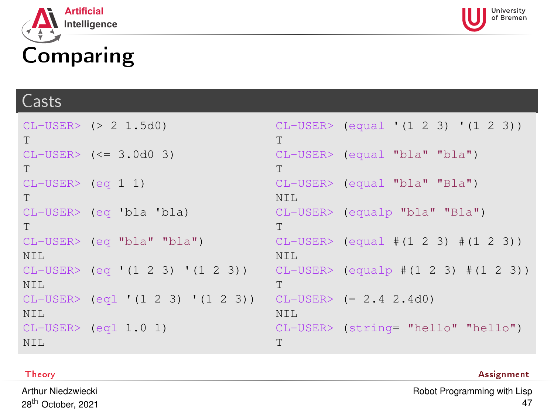<span id="page-46-0"></span>



# Comparing

#### **Casts**

```
CL-USER> (> 2 1.5d0)
T
CL-USER> (<= 3.0d0 3)
T
CL-USER> (eq 1 1)
T
CL-USER> (eq 'bla 'bla)
T
CL-USER> (eq "bla" "bla")
NTT.
CL-USER> (eq '(1 2 3) '(1 2 3))
NTL
CL-USER> (eql '(1 2 3) '(1 2 3))
CL-USER> (= 2.4 2.4d0)
NTT.
CL-USER> (eql 1.0 1)
NTT.
                                    CL-USER> (equal '(1 2 3) '(1 2 3))
                                    T
                                    CL-USER> (equal "bla" "bla")
                                    T
                                    CL-USER> (equal "bla" "Bla")
                                    NTT.
                                    CL-USER> (equalp "bla" "Bla")
                                    T
                                    CL-USER> (equal #(1 2 3) #(1 2 3))
                                    NTT.
                                    CL-USER> (equalp #(1 2 3) #(1 2 3))
                                    T
                                    NTT.
                                    CL-USER> (string= "hello" "hello")
                                    T
```
#### **[Theory](#page-1-0) [Assignment](#page-59-0)** Assignment and the contract of the contract of the contract of the contract of the contract of the contract of the contract of the contract of the contract of the contract of the contract of the contrac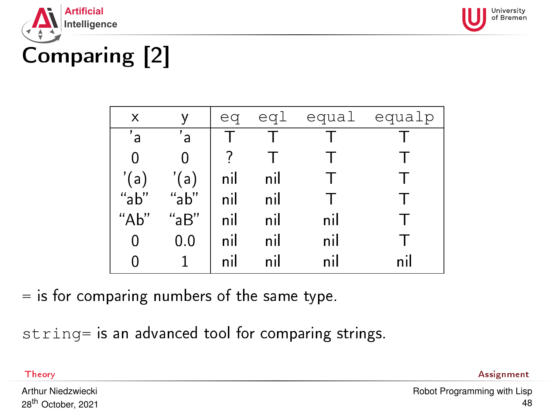<span id="page-47-0"></span>



# Comparing [2]

| x             | ٧              | eq  |     |     | eql equal equalp |
|---------------|----------------|-----|-----|-----|------------------|
| $^{\prime}$ a | $^{\prime}$ a  |     |     |     |                  |
| 0             |                |     |     |     |                  |
| '(a)          | '(a)           | nil | nil |     |                  |
| "a $b$ "      | "ab"           | nil | nil |     |                  |
| "Ab"          | "aB"           | nil | nil | nil |                  |
| 0             | 0 <sub>0</sub> | nil | nil | nil |                  |
|               |                | nil | nil | nil | n il             |
|               |                |     |     |     |                  |

 $=$  is for comparing numbers of the same type.

string= is an advanced tool for comparing strings.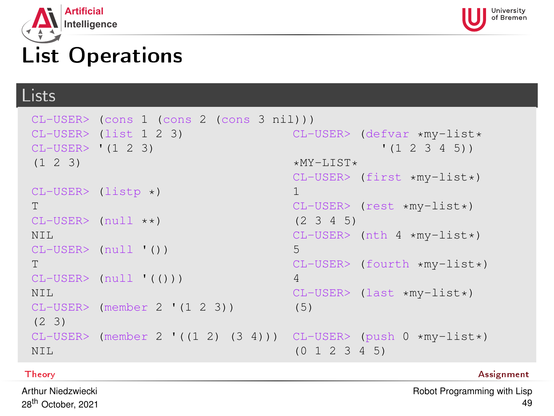<span id="page-48-0"></span>



## List Operations

#### Lists

```
CL-USER> (cons 1 (cons 2 (cons 3 nil)))
CL-USER> (list 1 2 3)
CL-USER> '(1 2 3)
(1 2 3)
CI-USER> (listr \star)T
CL-USER (null * x)NTT.
CL-USER> (null '())
T
CL-USER> (null '(()))
N<sub>TL</sub>
CL-USER> (member 2 '(1 2 3))
(2 3)
CL-USER> (member 2 '((1 2) (3 4)))
CL-USER> (push 0 *my-list*)
NTT.
                                       CL-USER> (defvar *my-list*
                                                    '(1 2 3 4 5))
                                       *MY-LIST*CL-USER> (first *my-list*)
                                       1
                                       CL-USER> (rest *my-list*)
                                       (2 3 4 5)
                                       CL-USER> (nth 4 *mv-list*)
                                       5
                                       CL-USER> (fourth *my-list*)
                                       4
                                       CL-USER> (last *my-list*)
                                       (5)
                                       (0 1 2 3 4 5)
```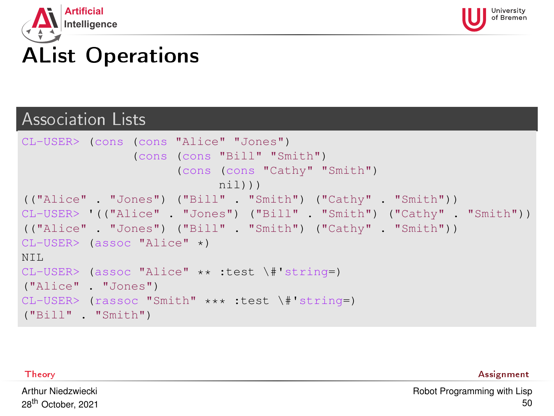<span id="page-49-0"></span>



# AList Operations

#### Association Lists

```
CL-USER> (cons (cons "Alice" "Jones")
                (cons (cons "Bill" "Smith")
                      (cons (cons "Cathy" "Smith")
                            nil)))
(("Alice" . "Jones") ("Bill" . "Smith") ("Cathy" . "Smith"))
CL-USER> '(("Alice" . "Jones") ("Bill" . "Smith") ("Cathy" . "Smith"))
(("Alice" . "Jones") ("Bill" . "Smith") ("Cathy" . "Smith"))
CL-USER> (assoc "Alice" *)
NT<sub>L</sub>
CL-USER> (assoc "Alice" ** :test \#'string=)
("Alice" . "Jones")
CL-USER> (rassoc "Smith" *** :test \#'string=)
("Bill" . "Smith")
```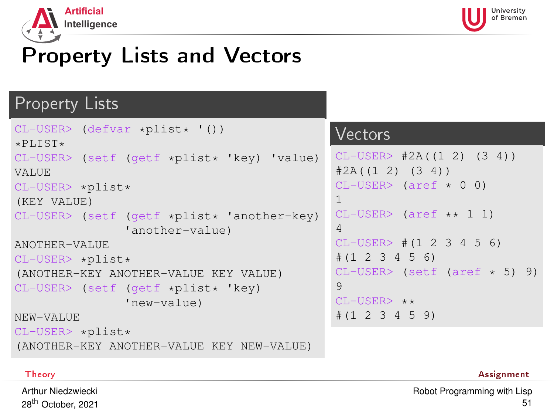<span id="page-50-0"></span>



# Property Lists and Vectors

#### Property Lists

```
CL-USER> (defvar *plist* '())
*PLIST*CL-USER> (setf (getf *plist* 'key) 'value)
VALUE
CL-USER> *plist*
(KEY VALUE)
CL-USER (setf (getf *plist* 'another-key)
               'another-value)
ANOTHER-VALUE
CI-USER> *plist*
(ANOTHER-KEY ANOTHER-VALUE KEY VALUE)
CL-USER> (setf (getf *plist* 'key)
               'new-value)
NEW-VALUE
CL-USER> *plist*
(ANOTHER-KEY ANOTHER-VALUE KEY NEW-VALUE)
```
#### Vectors

```
CL-USER > #2A((1 2) (3 4))#2A((1 2) (3 4))CL-USER> (aref \star 0 0)
1
CL-USER> (aref ** 1 1)
4
CL-USER # (1 2 3 4 5 6)#(1 2 3 4 5 6)
CL-USER > (setf (aref * 5) 9)9
CI-USER> **#(1 2 3 4 5 9)
```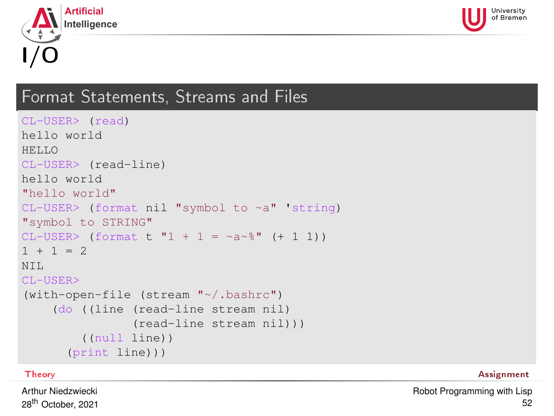<span id="page-51-0"></span>



#### Format Statements, Streams and Files

```
CL-USER> (read)
hello world
HELLO
CL-USER> (read-line)
hello world
"hello world"
CL-USER> (format nil "symbol to ~a" 'string)
"symbol to STRING"
CL-USER (format t "1 + 1 = ~a~%" (+ 1 1))
1 + 1 = 2NTT.
CL-USER>
(with-open-file (stream "~/.bashrc")
    (do ((line (read-line stream nil)
                (read-line stream nil)))
        ((null line))
      (print line)))
```
[Theory](#page-1-0) [Assignment](#page-59-0)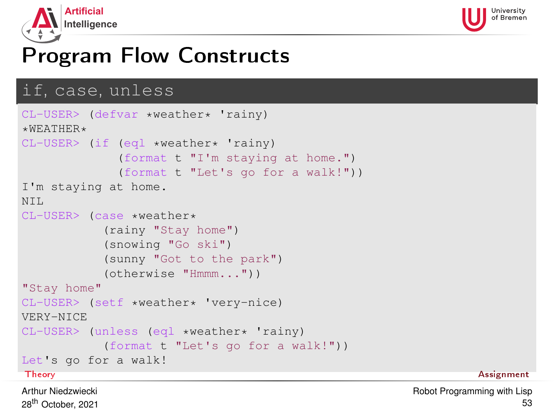<span id="page-52-0"></span>



## Program Flow Constructs

#### if, case, unless

```
CL-USER> (defvar *weather* 'rainy)
*WERATHER*CL-USER> (if (eql *weather* 'rainy)
            (format t "I'm staying at home.")
            (format t "Let's go for a walk!"))
I'm staying at home.
NTT.
CL-USER> (case *weather*
          (rainy "Stay home")
          (snowing "Go ski")
          (sunny "Got to the park")
          (otherwise "Hmmm..."))
"Stay home"
CL-USER> (setf *weather* 'very-nice)
VERY-NICE
CL-USER> (unless (eql *weather* 'rainy)
          (format t "Let's go for a walk!"))
Let's go for a walk!
Theory Assignment
```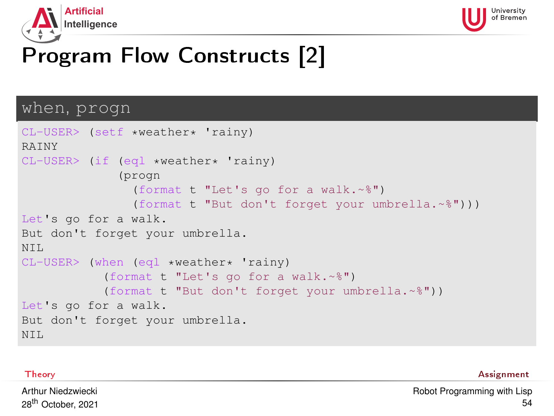<span id="page-53-0"></span>



# Program Flow Constructs [2]

#### when, progn

```
CL-USER> (setf *weather* 'rainy)
RAINY
CI-IISER> (if (eql *weather* 'rainy)
              (progn
                (format t "Let's go for a walk.~%")
                (format t "But don't forget your umbrella.~%")))
Let's go for a walk.
But don't forget your umbrella.
NTT.
CL-USER> (when (eql *weather* 'rainy)
           (format t "Let's go for a walk.~%")
           (format t "But don't forget your umbrella.~%"))
Let's go for a walk.
But don't forget your umbrella.
NTT.
```
[Theory](#page-1-0) [Assignment](#page-59-0)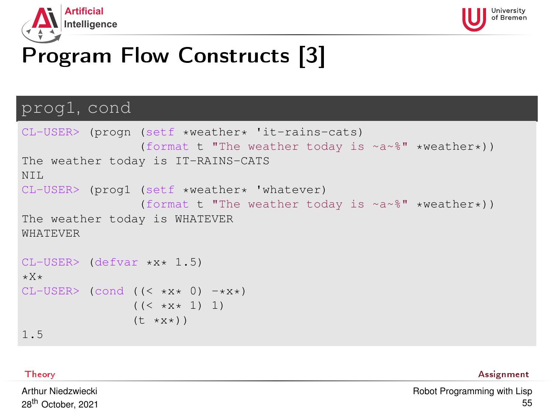<span id="page-54-0"></span>



# Program Flow Constructs [3]

#### prog1, cond

```
CL-USER> (progn (setf *weather* 'it-rains-cats)
                    (format t "The weather today is ~a~%" *weather*))
The weather today is IT-RAINS-CATS
NTT.
CL-USER> (prog1 (setf *weather* 'whatever)
                    (format t "The weather today is ~a~%" *weather*))
The weather today is WHATEVER
WHATEVER
CL-USER> (defvar *x* 1.5)
*X*
CL-USER (cond ((\langle x,y,x,0\rangle -\langle x,x+1\rangle)
                   ((\langle \times \times \times \times 1) 1)
                   (t \star x \star))
```
1.5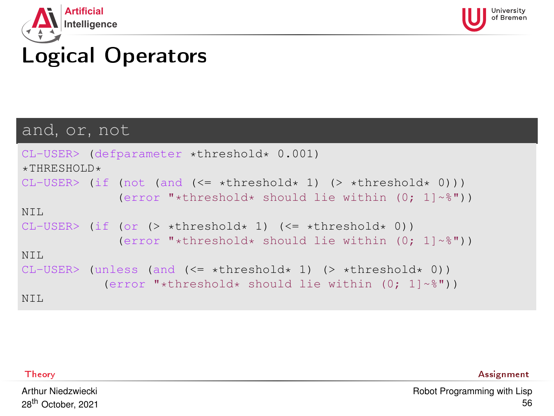<span id="page-55-0"></span>



# Logical Operators

#### and, or, not

```
CL-USER> (defparameter *threshold* 0.001)
*THRESHOLD*CL-USER> (if (not (and (\leq = \star \text{threshold} \star 1) (> \star \text{threshold} \star 0)))
               (error "*threshold* should lie within (0; 1]~*"))
NTT.
CI-USER> (if (or (> *threshold* 1) (<= *threshold* 0))
               (error "*threshold* should lie within (0; 1]~*"))
NT<sub>L</sub>
CI-IISER> (unless (and \leq *threshold* 1) (> *threshold* 0))
             (error "*threshold* should lie within (0; 1]~*"))
NIL
```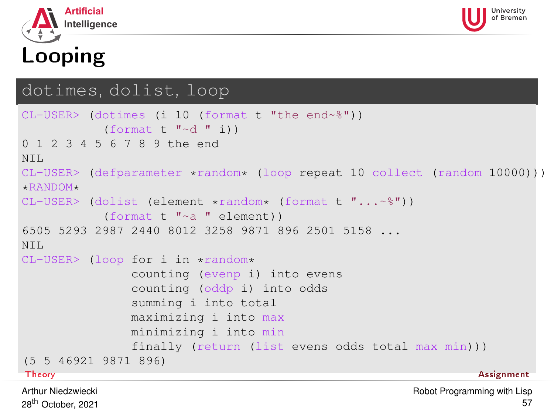<span id="page-56-0"></span>

# Looping

#### dotimes, dolist, loop

```
CL-USER> (dotimes (i 10 (format t "the end~%"))
          (format t "\simd " i))
0 1 2 3 4 5 6 7 8 9 the end
NTT.
CL-USER> (defparameter *random* (loop repeat 10 collect (random 10000)))
+RANDOM+CL-USER> (dolist (element *random* (format t "...~%"))
          (format t "~a " element))
6505 5293 2987 2440 8012 3258 9871 896 2501 5158 ...
NTT.
CL-USER> (loop for i in *random*
              counting (evenp i) into evens
              counting (oddp i) into odds
              summing i into total
              maximizing i into max
              minimizing i into min
              finally (return (list evens odds total max min)))
(5 5 46921 9871 896)
Theory Assignment
```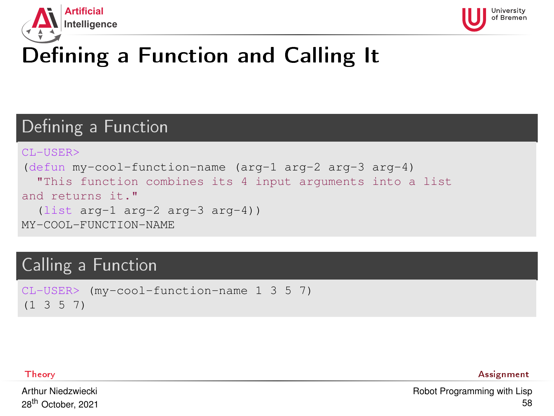<span id="page-57-0"></span>



# Defining a Function and Calling It

## Defining a Function

```
CL-USER>
(defun my-cool-function-name (arg-1 arg-2 arg-3 arg-4)
  "This function combines its 4 input arguments into a list
and returns it."
  (list arg-1 arg-2 arg-3 arg-4))
MY-COOL-FUNCTION-NAME
```
#### Calling a Function

```
CL-USER> (my-cool-function-name 1 3 5 7)
(1 3 5 7)
```
[Theory](#page-1-0) [Assignment](#page-59-0)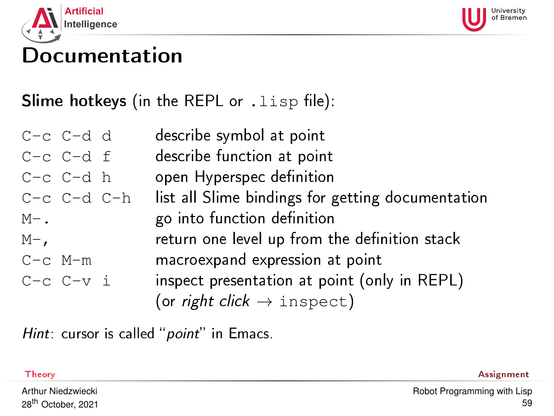<span id="page-58-0"></span>



## Documentation

Slime hotkeys (in the REPL or  $.lisp$  file):

| $C-c$ $C-d$ d     | describe symbol at point                          |
|-------------------|---------------------------------------------------|
| $C-c$ $C-d$ $f$   | describe function at point                        |
| $C-c$ $C-d$ h     | open Hyperspec definition                         |
| $C-c$ $C-d$ $C-h$ | list all Slime bindings for getting documentation |
| $M-$ .            | go into function definition                       |
| $M-$              | return one level up from the definition stack     |
| $C-c$ $M-m$       | macroexpand expression at point                   |
| $C-c$ $C-v$ i     | inspect presentation at point (only in REPL)      |
|                   | (or right click $\rightarrow$ inspect)            |

 $Hint:$  cursor is called " $point"$  in Emacs.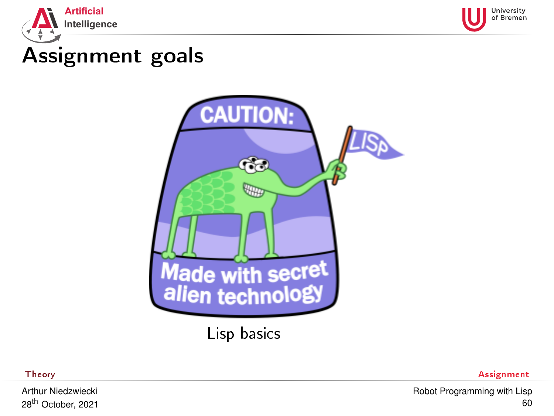<span id="page-59-0"></span>



# Assignment goals



Lisp basics

Arthur Niedzwiecki 28th October, 2021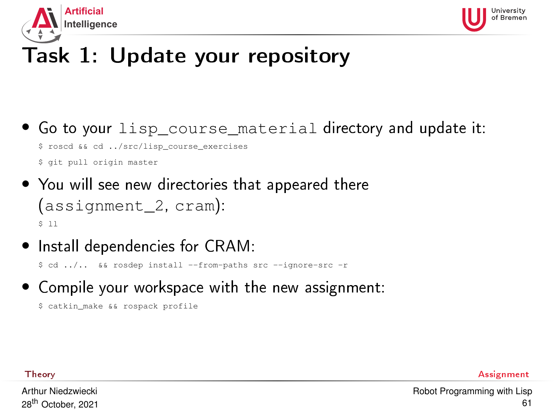<span id="page-60-0"></span>



# Task 1: Update your repository

- Go to your lisp course material directory and update it: \$ roscd && cd ../src/lisp\_course\_exercises \$ git pull origin master
- You will see new directories that appeared there (assignment\_2, cram): \$ ll
- Install dependencies for CRAM:

\$ cd ../.. && rosdep install --from-paths src --ignore-src -r

• Compile your workspace with the new assignment:

```
$ catkin make && rospack profile
```
[Theory](#page-1-0) [Assignment](#page-59-0)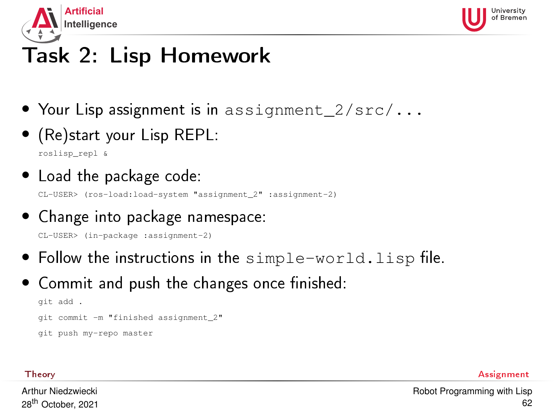<span id="page-61-0"></span>



# Task 2: Lisp Homework

- Your Lisp assignment is in assignment  $2/\text{src}/...$
- (Re)start your Lisp REPL:

roslisp\_repl &

• Load the package code:

CL-USER> (ros-load:load-system "assignment\_2" :assignment-2)

• Change into package namespace:

CL-USER> (in-package :assignment-2)

- Follow the instructions in the  $simple-word.$  Lisp file.
- $\bullet$  Commit and push the changes once finished:

```
git add .
git commit -m "finished assignment_2"
git push my-repo master
```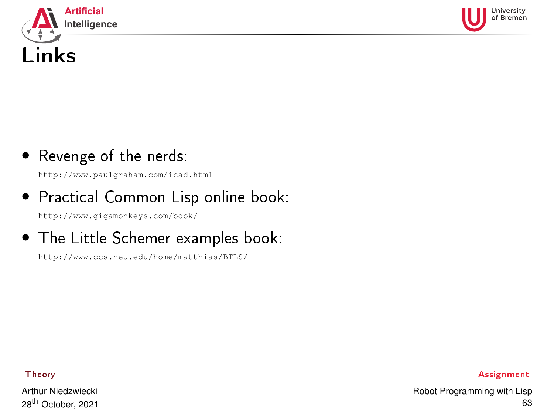<span id="page-62-0"></span>



#### • Revenge of the nerds:

<http://www.paulgraham.com/icad.html>

• Practical Common Lisp online book:

<http://www.gigamonkeys.com/book/>

• The Little Schemer examples book:

<http://www.ccs.neu.edu/home/matthias/BTLS/>

Arthur Niedzwiecki 28th October, 2021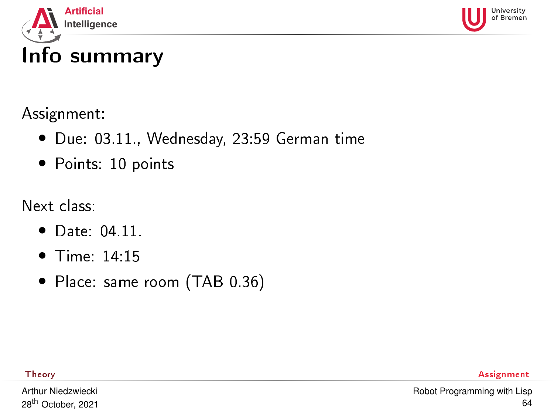<span id="page-63-0"></span>

University

#### Assignment:

- Due: 03.11., Wednesday, 23:59 German time
- Points: 10 points

Next class:

- Date: 04.11.
- Time: 14:15
- Place: same room (TAB 0.36)

[Theory](#page-1-0) [Assignment](#page-59-0)

Arthur Niedzwiecki 28th October, 2021 [Robot Programming with Lisp](#page-0-0) 64